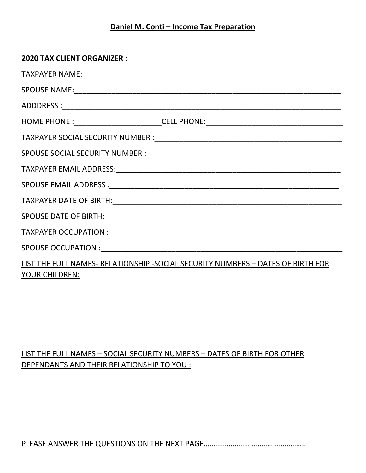## **Daniel M. Conti - Income Tax Preparation**

## **2020 TAX CLIENT ORGANIZER :**

|                | HOME PHONE :___________________________CELL PHONE:______________________________ |
|----------------|----------------------------------------------------------------------------------|
|                |                                                                                  |
|                |                                                                                  |
|                |                                                                                  |
|                |                                                                                  |
|                |                                                                                  |
|                |                                                                                  |
|                |                                                                                  |
|                |                                                                                  |
| YOUR CHILDREN: | LIST THE FULL NAMES- RELATIONSHIP -SOCIAL SECURITY NUMBERS - DATES OF BIRTH FOR  |

## LIST THE FULL NAMES – SOCIAL SECURITY NUMBERS – DATES OF BIRTH FOR OTHER DEPENDANTS AND THEIR RELATIONSHIP TO YOU :

PLEASE ANSWER THE QUESTIONS ON THE NEXT PAGE……………………………………………..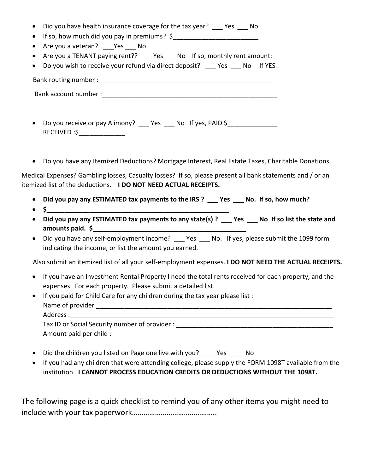- Did you have health insurance coverage for the tax year? Yes No
- If so, how much did you pay in premiums?  $\oint$
- Are you a veteran? Yes No
- Are you a TENANT paying rent?? Yes No If so, monthly rent amount:
- Do you wish to receive your refund via direct deposit? \_\_\_ Yes \_\_\_ No If YES :

Bank routing number :\_\_\_\_\_\_\_\_\_\_\_\_\_\_\_\_\_\_\_\_\_\_\_\_\_\_\_\_\_\_\_\_\_\_\_\_\_\_\_\_\_\_\_\_\_\_\_\_\_

Bank account number :\_\_\_\_\_\_\_\_\_\_\_\_\_\_\_\_\_\_\_\_\_\_\_\_\_\_\_\_\_\_\_\_\_\_\_\_\_\_\_\_\_\_\_\_\_\_\_\_\_

- Do you receive or pay Alimony? \_\_\_ Yes \_\_\_ No If yes, PAID \$\_\_\_\_\_\_\_\_\_\_\_\_\_\_\_\_\_ RECEIVED :\$\_\_\_\_\_\_\_\_\_\_\_\_\_
- Do you have any Itemized Deductions? Mortgage Interest, Real Estate Taxes, Charitable Donations,

Medical Expenses? Gambling losses, Casualty losses? If so, please present all bank statements and / or an itemized list of the deductions. **I DO NOT NEED ACTUAL RECEIPTS.**

- **Did you pay any ESTIMATED tax payments to the IRS ? \_\_\_ Yes \_\_\_ No. If so, how much?**
- $\bullet$  5
- Did you pay any ESTIMATED tax payments to any state(s) ? Yes No If so list the state and **amounts paid.**  $\oint$
- Did you have any self-employment income? \_\_\_ Yes \_\_\_ No. If yes, please submit the 1099 form indicating the income, or list the amount you earned.

Also submit an itemized list of all your self-employment expenses. **I DO NOT NEED THE ACTUAL RECEIPTS.**

- If you have an Investment Rental Property I need the total rents received for each property, and the expenses For each property. Please submit a detailed list.
- If you paid for Child Care for any children during the tax year please list : Name of provider \_\_\_\_\_\_\_\_\_\_\_\_\_\_\_\_\_\_\_\_\_\_\_\_\_\_\_\_\_\_\_\_\_\_\_\_\_\_\_\_\_\_\_\_\_\_\_\_\_\_\_\_\_\_\_\_\_\_\_\_\_\_\_\_\_\_ Address : Tax ID or Social Security number of provider :  $\blacksquare$ Amount paid per child :
- Did the children you listed on Page one live with you? \_\_\_\_ Yes \_\_\_\_ No
- If you had any children that were attending college, please supply the FORM 1098T available from the institution. **I CANNOT PROCESS EDUCATION CREDITS OR DEDUCTIONS WITHOUT THE 1098T.**

The following page is a quick checklist to remind you of any other items you might need to include with your tax paperwork……………………………………..